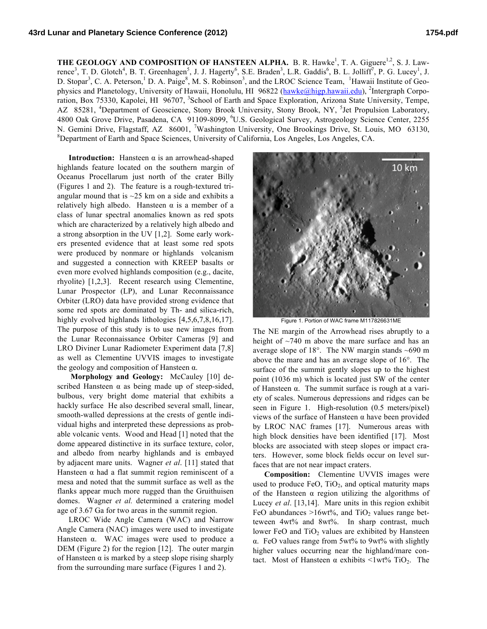**THE GEOLOGY AND COMPOSITION OF HANSTEEN ALPHA.** B. R. Hawke<sup>1</sup>, T. A. Giguere<sup>1,2</sup>, S. J. Lawrence<sup>3</sup>, T. D. Glotch<sup>4</sup>, B. T. Greenhagen<sup>5</sup>, J. J. Hagerty<sup>6</sup>, S.E. Braden<sup>3</sup>, L.R. Gaddis<sup>6</sup>, B. L. Jolliff<sup>7</sup>, P. G. Lucey<sup>1</sup>, J. D. Stopar<sup>3</sup>, C. A. Peterson,<sup>1</sup> D. A. Paige<sup>8</sup>, M. S. Robinson<sup>3</sup>, and the LROC Science Team, <sup>1</sup>Hawaii Institute of Geophysics and Planetology, University of Hawaii, Honolulu, HI 96822 (hawke@higp.hawaii.edu), <sup>2</sup>Intergraph Corporation, Box 75330, Kapolei, HI 96707, <sup>3</sup>School of Earth and Space Exploration, Arizona State University, Tempe, AZ 85281, <sup>4</sup>Department of Geoscience, Stony Brook University, Stony Brook, NY, <sup>5</sup>Jet Propulsion Laboratory, 4800 Oak Grove Drive, Pasadena, CA 91109-8099, <sup>6</sup>U.S. Geological Survey, Astrogeology Science Center, 2255 N. Gemini Drive, Flagstaff, AZ 86001, <sup>7</sup>Washington University, One Brookings Drive, St. Louis, MO 63130,  ${}^{8}$ Department of Earth and Space Sciences, University of Colifornia, Lee Angeles, Lee Angeles, CA Department of Earth and Space Sciences, University of California, Los Angeles, Los Angeles, CA.

**Introduction:** Hansteen  $\alpha$  is an arrowhead-shaped highlands feature located on the southern margin of Oceanus Procellarum just north of the crater Billy (Figures 1 and 2). The feature is a rough-textured triangular mound that is  $\sim$  25 km on a side and exhibits a relatively high albedo. Hansteen  $\alpha$  is a member of a class of lunar spectral anomalies known as red spots which are characterized by a relatively high albedo and a strong absorption in the UV [1,2]. Some early workers presented evidence that at least some red spots were produced by nonmare or highlands volcanism and suggested a connection with KREEP basalts or even more evolved highlands composition (e.g., dacite, rhyolite) [1,2,3]. Recent research using Clementine, Lunar Prospector (LP), and Lunar Reconnaissance Orbiter (LRO) data have provided strong evidence that some red spots are dominated by Th- and silica-rich, highly evolved highlands lithologies [4,5,6,7,8,16,17]. The purpose of this study is to use new images from the Lunar Reconnaissance Orbiter Cameras [9] and LRO Diviner Lunar Radiometer Experiment data [7,8] as well as Clementine UVVIS images to investigate the geology and composition of Hansteen  $α$ .

 **Morphology and Geology:** McCauley [10] described Hansteen  $\alpha$  as being made up of steep-sided, bulbous, very bright dome material that exhibits a hackly surface He also described several small, linear, smooth-walled depressions at the crests of gentle individual highs and interpreted these depressions as probable volcanic vents. Wood and Head [1] noted that the dome appeared distinctive in its surface texture, color, and albedo from nearby highlands and is embayed by adjacent mare units. Wagner *et al*. [11] stated that Hansteen  $\alpha$  had a flat summit region reminiscent of a mesa and noted that the summit surface as well as the flanks appear much more rugged than the Gruithuisen domes. Wagner *et al.* determined a cratering model age of 3.67 Ga for two areas in the summit region.

LROC Wide Angle Camera (WAC) and Narrow Angle Camera (NAC) images were used to investigate Hansteen  $\alpha$ . WAC images were used to produce a DEM (Figure 2) for the region [12]. The outer margin of Hansteen  $\alpha$  is marked by a steep slope rising sharply from the surrounding mare surface (Figures 1 and 2).



Figure 1. Portion of WAC frame M117826631ME

The NE margin of the Arrowhead rises abruptly to a height of  $\sim$ 740 m above the mare surface and has an average slope of 18°. The NW margin stands ~690 m above the mare and has an average slope of 16°. The surface of the summit gently slopes up to the highest point (1036 m) which is located just SW of the center of Hansteen α. The summit surface is rough at a variety of scales. Numerous depressions and ridges can be seen in Figure 1. High-resolution (0.5 meters/pixel) views of the surface of Hansteen α have been provided by LROC NAC frames [17]. Numerous areas with high block densities have been identified [17]. Most blocks are associated with steep slopes or impact craters. However, some block fields occur on level surfaces that are not near impact craters.

**Composition:** Clementine UVVIS images were used to produce  $FeO$ ,  $TiO<sub>2</sub>$ , and optical maturity maps of the Hansteen  $\alpha$  region utilizing the algorithms of Lucey *et al*. [13,14]. Mare units in this region exhibit FeO abundances  $>16wt\%$ , and TiO<sub>2</sub> values range betteween 4wt% and 8wt%. In sharp contrast, much lower FeO and  $TiO<sub>2</sub>$  values are exhibited by Hansteen α. FeO values range from 5wt% to 9wt% with slightly higher values occurring near the highland/mare contact. Most of Hansteen α exhibits  $\leq 1$ wt% TiO<sub>2</sub>. The